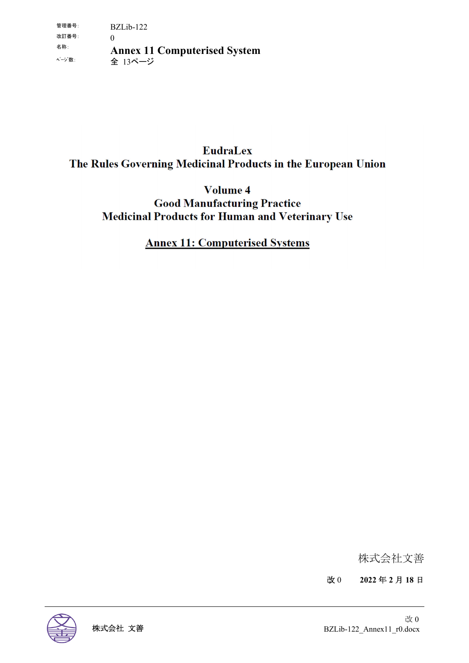## **EudraLex** The Rules Governing Medicinal Products in the European Union

Volume 4 **Good Manufacturing Practice Medicinal Products for Human and Veterinary Use** 

### **Annex 11: Computerised Systems**

株式会社文善

改 0 **2022** 年 **2** 月 **18** 日

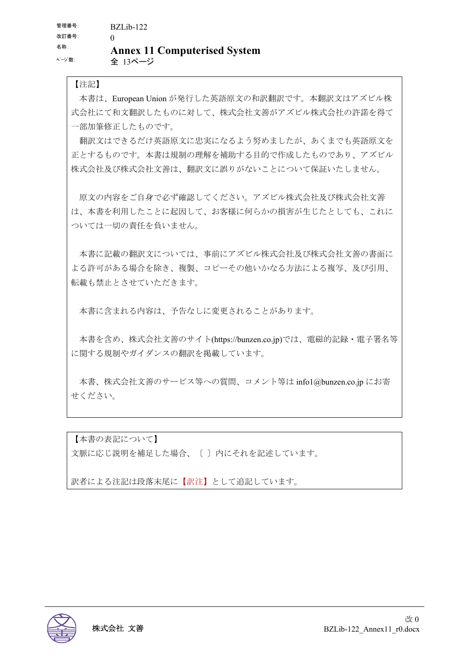#### 【注記】

本書は、European Union が発行した英語原文の和訳翻訳です。本翻訳文はアズビル株 式会社にて和文翻訳したものに対して、株式会社文善がアズビル株式会社の許諾を得て 一部加筆修正したものです。

翻訳文はできるだけ英語原文に忠実になるよう努めましたが、あくまでも英語原文を 正とするものです。本書は規制の理解を補助する目的で作成したものであり、アズビル 株式会社及び株式会社文善は、翻訳文に誤りがないことについて保証いたしません。

原文の内容をご自身で必ず確認してください。アズビル株式会社及び株式会社文善 は、本書を利用したことに起因して、お客様に何らかの損害が生じたとしても、これに ついては一切の責任を負いません。

本書に記載の翻訳文については、事前にアズビル株式会社及び株式会社文善の書面に よる許可がある場合を除き、複製、コピーその他いかなる方法による複写、及び引用、 転載も禁止とさせていただきます。

本書に含まれる内容は、予告なしに変更されることがあります。

本書を含め、株式会社文善のサイト(https://bunzen.co.jp)では、電磁的記録・電子署名等 に関する規制やガイダンスの翻訳を掲載しています。

本書、株式会社文善のサービス等への質問、コメント等は info1@bunzen.co.jp にお寄 せください。

【本書の表記について】 文脈に応じ説明を補足した場合、〔 〕内にそれを記述しています。

訳者による注記は段落末尾に【訳注】として追記しています。

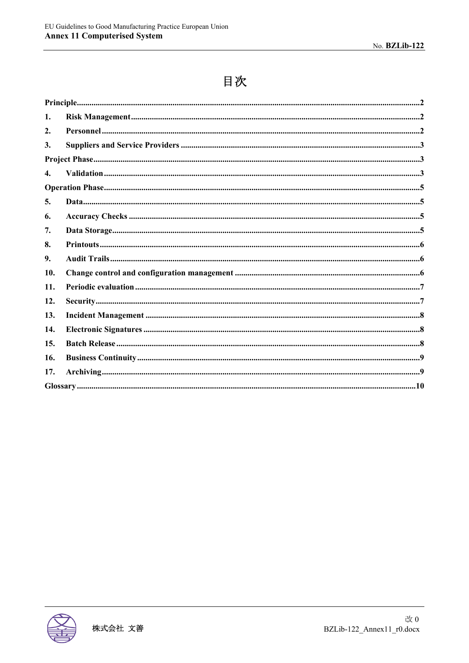# 目次

| 1.           |  |
|--------------|--|
| 2.           |  |
| 3.           |  |
|              |  |
| $\mathbf{4}$ |  |
|              |  |
| 5.           |  |
| 6.           |  |
| 7.           |  |
| 8.           |  |
| 9.           |  |
| 10.          |  |
| 11.          |  |
| 12.          |  |
| 13.          |  |
| 14.          |  |
| 15.          |  |
| 16.          |  |
| 17.          |  |
|              |  |

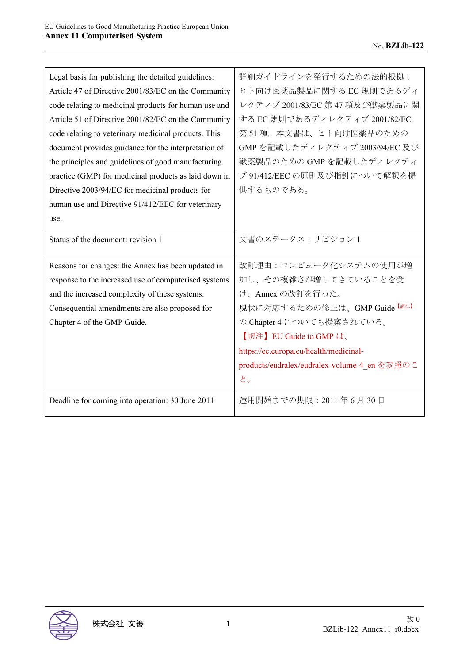| Legal basis for publishing the detailed guidelines:   | 詳細ガイドラインを発行するための法的根拠:                        |
|-------------------------------------------------------|----------------------------------------------|
| Article 47 of Directive 2001/83/EC on the Community   | ヒト向け医薬品製品に関する EC 規則であるディ                     |
| code relating to medicinal products for human use and | レクティブ 2001/83/EC 第47 項及び獣薬製品に関               |
| Article 51 of Directive 2001/82/EC on the Community   | する EC 規則であるディレクティブ 2001/82/EC                |
| code relating to veterinary medicinal products. This  | 第51項。本文書は、ヒト向け医薬品のための                        |
| document provides guidance for the interpretation of  | GMP を記載したディレクティブ 2003/94/EC 及び               |
| the principles and guidelines of good manufacturing   | 獣薬製品のための GMP を記載したディレクティ                     |
| practice (GMP) for medicinal products as laid down in | ブ 91/412/EEC の原則及び指針について解釈を提                 |
| Directive 2003/94/EC for medicinal products for       | 供するものである。                                    |
| human use and Directive 91/412/EEC for veterinary     |                                              |
| use.                                                  |                                              |
| Status of the document: revision 1                    | 文書のステータス:リビジョン1                              |
|                                                       |                                              |
| Reasons for changes: the Annex has been updated in    | 改訂理由:コンピュータ化システムの使用が増                        |
| response to the increased use of computerised systems | 加し、その複雑さが増してきていることを受                         |
| and the increased complexity of these systems.        | け、Annex の改訂を行った。                             |
| Consequential amendments are also proposed for        | 現状に対応するための修正は、GMP Guide [訳注]                 |
| Chapter 4 of the GMP Guide.                           | の Chapter 4 についても提案されている。                    |
|                                                       | 【訳注】EU Guide to GMP は、                       |
|                                                       | https://ec.europa.eu/health/medicinal-       |
|                                                       | products/eudralex/eudralex-volume-4 en を参照のこ |
|                                                       | と。                                           |
| Deadline for coming into operation: 30 June 2011      | 運用開始までの期限: 2011年6月30日                        |

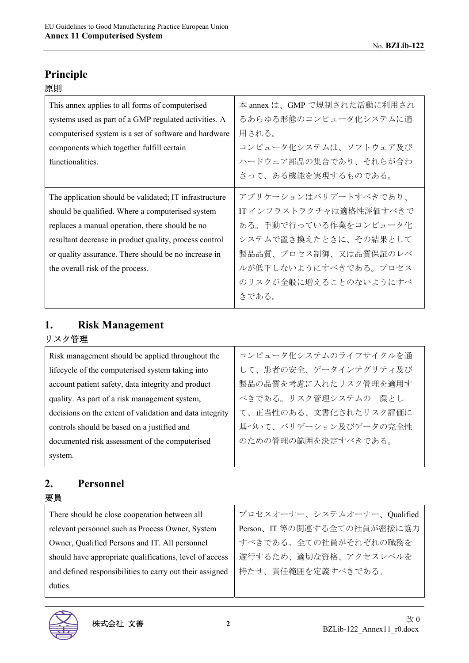| This annex applies to all forms of computerised        | 本 annex は、GMP で規制された活動に利用され |
|--------------------------------------------------------|-----------------------------|
| systems used as part of a GMP regulated activities. A  | るあらゆる形態のコンピュータ化システムに適       |
| computerised system is a set of software and hardware  | 用される。                       |
| components which together fulfill certain              | コンピュータ化システムは、ソフトウェア及び       |
| functionalities.                                       | ハードウェア部品の集合であり、それらが合わ       |
|                                                        | さって、ある機能を実現するものである。         |
| The application should be validated; IT infrastructure | アプリケーションはバリデートすべきであり、       |
| should be qualified. Where a computerised system       | IT インフラストラクチャは適格性評価すべきで     |
| replaces a manual operation, there should be no        | ある。手動で行っている作業をコンピュータ化       |
| resultant decrease in product quality, process control | システムで置き換えたときに、その結果として       |
| or quality assurance. There should be no increase in   | 製品品質、プロセス制御、又は品質保証のレベ       |
| the overall risk of the process.                       | ルが低下しないようにすべきである。プロセス       |
|                                                        | のリスクが全般に増えることのないようにすべ       |
|                                                        | きである。                       |

#### **1. Risk Management**  リスク管理

| Risk management should be applied throughout the         | コンピュータ化システムのライフサイクルを通 |
|----------------------------------------------------------|-----------------------|
| lifecycle of the computerised system taking into         | して、患者の安全、データインテグリティ及び |
| account patient safety, data integrity and product       | 製品の品質を考慮に入れたリスク管理を適用す |
| quality. As part of a risk management system,            | べきである。リスク管理システムの一環とし  |
| decisions on the extent of validation and data integrity | て、正当性のある、文書化されたリスク評価に |
| controls should be based on a justified and              | 基づいて、バリデーション及びデータの完全性 |
| documented risk assessment of the computerised           | のための管理の範囲を決定すべきである。   |
| system.                                                  |                       |
|                                                          |                       |

#### **2. Personnel**  要員

| There should be close cooperation between all            | プロセスオーナー、システムオーナー、Qualified |
|----------------------------------------------------------|-----------------------------|
| relevant personnel such as Process Owner, System         | Person、IT 等の関連する全ての社員が密接に協力 |
| Owner, Qualified Persons and IT. All personnel           | すべきである。全ての社員がそれぞれの職務を       |
| should have appropriate qualifications, level of access  | 遂行するため、適切な資格、アクセスレベルを       |
| and defined responsibilities to carry out their assigned | 持たせ、責任範囲を定義すべきである。          |
| duties.                                                  |                             |
|                                                          |                             |

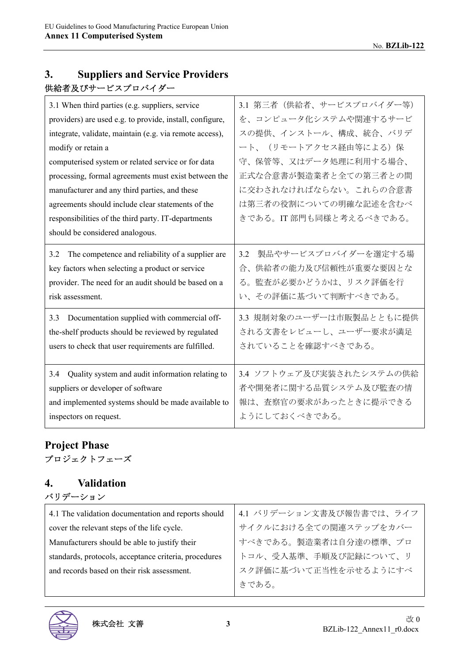## **3. Suppliers and Service Providers**  供給者及びサービスプロバイダー

| 3.1 When third parties (e.g. suppliers, service          | 3.1 第三者(供給者、サービスプロバイダー等)   |
|----------------------------------------------------------|----------------------------|
| providers) are used e.g. to provide, install, configure, | を、コンピュータ化システムや関連するサービ      |
| integrate, validate, maintain (e.g. via remote access),  | スの提供、インストール、構成、統合、バリデ      |
| modify or retain a                                       | ート、(リモートアクセス経由等による)保       |
| computerised system or related service or for data       | 守、保管等、又はデータ処理に利用する場合、      |
| processing, formal agreements must exist between the     | 正式な合意書が製造業者と全ての第三者との間      |
| manufacturer and any third parties, and these            | に交わされなければならない。これらの合意書      |
| agreements should include clear statements of the        | は第三者の役割についての明確な記述を含むべ      |
| responsibilities of the third party. IT-departments      | きである。IT 部門も同様と考えるべきである。    |
| should be considered analogous.                          |                            |
| The competence and reliability of a supplier are<br>3.2  | 製品やサービスプロバイダーを選定する場<br>3.2 |
| key factors when selecting a product or service          | 供給者の能力及び信頼性が重要な要因とな<br>合、  |
| provider. The need for an audit should be based on a     | 監査が必要かどうかは、リスク評価を行<br>る。   |
| risk assessment.                                         | い、その評価に基づいて判断すべきである。       |
| Documentation supplied with commercial off-<br>3.3       | 3.3 規制対象のユーザーは市販製品とともに提供   |
| the-shelf products should be reviewed by regulated       | される文書をレビューし、ユーザー要求が満足      |
| users to check that user requirements are fulfilled.     | されていることを確認すべきである。          |
|                                                          |                            |
| Quality system and audit information relating to<br>3.4  | 3.4 ソフトウェア及び実装されたシステムの供給   |
| suppliers or developer of software                       | 者や開発者に関する品質システム及び監査の情      |
| and implemented systems should be made available to      | 報は、査察官の要求があったときに提示できる      |
| inspectors on request.                                   | ようにしておくべきである。              |

#### **Project Phase**  プロジェクトフェーズ

#### **4. Validation**  バリデーション

| 4.1 The validation documentation and reports should   | 4.1 バリデーション文書及び報告書では、ライフ |
|-------------------------------------------------------|--------------------------|
| cover the relevant steps of the life cycle.           | サイクルにおける全ての関連ステップをカバー    |
| Manufacturers should be able to justify their         | すべきである。製造業者は自分達の標準、プロ    |
| standards, protocols, acceptance criteria, procedures | トコル、受入基準、手順及び記録について、リ    |
| and records based on their risk assessment.           | スク評価に基づいて正当性を示せるようにすべ    |
|                                                       | きである。                    |
|                                                       |                          |

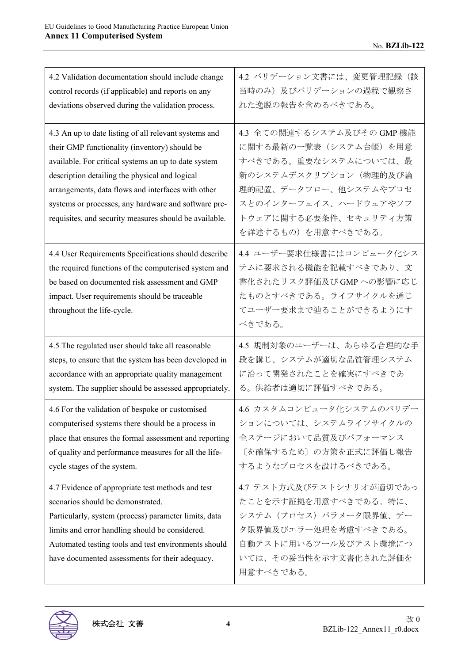| 4.2 Validation documentation should include change                                                                                                                                                                                                                                                                                                                                       | 4.2 バリデーション文書には、変更管理記録(該                                                                                                                                                                               |
|------------------------------------------------------------------------------------------------------------------------------------------------------------------------------------------------------------------------------------------------------------------------------------------------------------------------------------------------------------------------------------------|--------------------------------------------------------------------------------------------------------------------------------------------------------------------------------------------------------|
| control records (if applicable) and reports on any                                                                                                                                                                                                                                                                                                                                       | 当時のみ)及びバリデーションの過程で観察さ                                                                                                                                                                                  |
| deviations observed during the validation process.                                                                                                                                                                                                                                                                                                                                       | れた逸脱の報告を含めるべきである。                                                                                                                                                                                      |
| 4.3 An up to date listing of all relevant systems and<br>their GMP functionality (inventory) should be<br>available. For critical systems an up to date system<br>description detailing the physical and logical<br>arrangements, data flows and interfaces with other<br>systems or processes, any hardware and software pre-<br>requisites, and security measures should be available. | 4.3 全ての関連するシステム及びその GMP 機能<br>に関する最新の一覧表(システム台帳)を用意<br>すべきである。重要なシステムについては、最<br>新のシステムデスクリプション(物理的及び論<br>理的配置、データフロー、他システムやプロセ<br>スとのインターフェイス、ハードウェアやソフ<br>トウェアに関する必要条件、セキュリティ方策<br>を詳述するもの)を用意すべきである。 |
| 4.4 User Requirements Specifications should describe<br>the required functions of the computerised system and<br>be based on documented risk assessment and GMP<br>impact. User requirements should be traceable<br>throughout the life-cycle.                                                                                                                                           | 4.4 ユーザー要求仕様書にはコンピュータ化シス<br>テムに要求される機能を記載すべきであり、文<br>書化されたリスク評価及び GMP への影響に応じ<br>たものとすべきである。ライフサイクルを通じ<br>てユーザー要求まで辿ることができるようにす<br>べきである。                                                              |
| 4.5 The regulated user should take all reasonable                                                                                                                                                                                                                                                                                                                                        | 4.5 規制対象のユーザーは、あらゆる合理的な手                                                                                                                                                                               |
| steps, to ensure that the system has been developed in                                                                                                                                                                                                                                                                                                                                   | 段を講じ、システムが適切な品質管理システム                                                                                                                                                                                  |
| accordance with an appropriate quality management                                                                                                                                                                                                                                                                                                                                        | に沿って開発されたことを確実にすべきであ                                                                                                                                                                                   |
| system. The supplier should be assessed appropriately.                                                                                                                                                                                                                                                                                                                                   | る。供給者は適切に評価すべきである。                                                                                                                                                                                     |
| 4.6 For the validation of bespoke or customised                                                                                                                                                                                                                                                                                                                                          | 4.6 カスタムコンピュータ化システムのバリデー                                                                                                                                                                               |
| computerised systems there should be a process in                                                                                                                                                                                                                                                                                                                                        | ションについては、システムライフサイクルの                                                                                                                                                                                  |
| place that ensures the formal assessment and reporting                                                                                                                                                                                                                                                                                                                                   | 全ステージにおいて品質及びパフォーマンス                                                                                                                                                                                   |
| of quality and performance measures for all the life-                                                                                                                                                                                                                                                                                                                                    | [を確保するため]の方策を正式に評価し報告                                                                                                                                                                                  |
| cycle stages of the system.                                                                                                                                                                                                                                                                                                                                                              | するようなプロセスを設けるべきである。                                                                                                                                                                                    |
| 4.7 Evidence of appropriate test methods and test<br>scenarios should be demonstrated.<br>Particularly, system (process) parameter limits, data<br>limits and error handling should be considered.<br>Automated testing tools and test environments should<br>have documented assessments for their adequacy.                                                                            | 4.7 テスト方式及びテストシナリオが適切であっ<br>たことを示す証拠を用意すべきである。特に、<br>システム (プロセス) パラメータ限界値、デー<br>夕限界値及びエラー処理を考慮すべきである。<br>自動テストに用いるツール及びテスト環境につ<br>いては、その妥当性を示す文書化された評価を<br>用意すべきである。                                   |

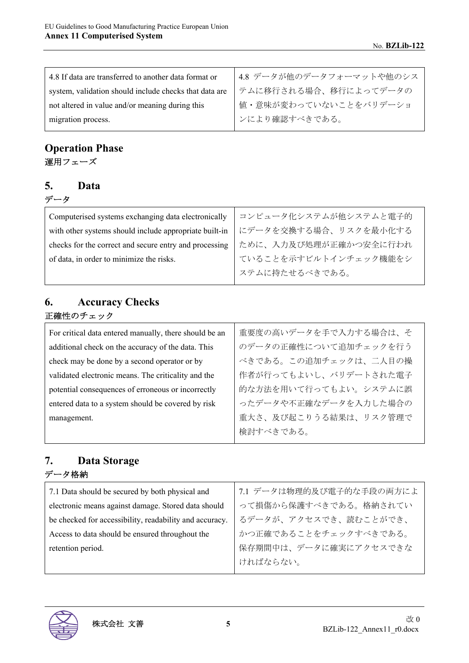| 4.8 If data are transferred to another data format or  | 4.8 データが他のデータフォーマットや他のシス |
|--------------------------------------------------------|--------------------------|
| system, validation should include checks that data are | テムに移行される場合、移行によってデータの    |
| not altered in value and/or meaning during this        | 値・意味が変わっていないことをバリデーショ    |
| migration process.                                     | ンにより確認すべきである。            |

## **Operation Phase**  運用フェーズ

#### **5. Data**  データ

| Computerised systems exchanging data electronically    | コンピュータ化システムが他システムと電子的 |
|--------------------------------------------------------|-----------------------|
| with other systems should include appropriate built-in | にデータを交換する場合、リスクを最小化する |
| checks for the correct and secure entry and processing | ために、入力及び処理が正確かつ安全に行われ |
| of data, in order to minimize the risks.               | ていることを示すビルトインチェック機能をシ |
|                                                        | ステムに持たせるべきである。        |

#### **6. Accuracy Checks**  正確性のチェック

| For critical data entered manually, there should be an | 重要度の高いデータを手で入力する場合は、そ |
|--------------------------------------------------------|-----------------------|
| additional check on the accuracy of the data. This     | のデータの正確性について追加チェックを行う |
| check may be done by a second operator or by           | べきである。この追加チェックは、二人目の操 |
| validated electronic means. The criticality and the    | 作者が行ってもよいし、バリデートされた電子 |
| potential consequences of erroneous or incorrectly     | 的な方法を用いて行ってもよい。システムに誤 |
| entered data to a system should be covered by risk     | ったデータや不正確なデータを入力した場合の |
| management.                                            | 重大さ、及び起こりうる結果は、リスク管理で |
|                                                        | 検討すべきである。             |

## **7. Data Storage**  データ格納

| 7.1 Data should be secured by both physical and         | 7.1 データは物理的及び電子的な手段の両方によ |
|---------------------------------------------------------|--------------------------|
| electronic means against damage. Stored data should     | って損傷から保護すべきである。格納されてい    |
| be checked for accessibility, readability and accuracy. | るデータが、アクセスでき、読むことができ、    |
| Access to data should be ensured throughout the         | かつ正確であることをチェックすべきである。    |
| retention period.                                       | 保存期間中は、データに確実にアクセスできな    |
|                                                         | ければならない。                 |

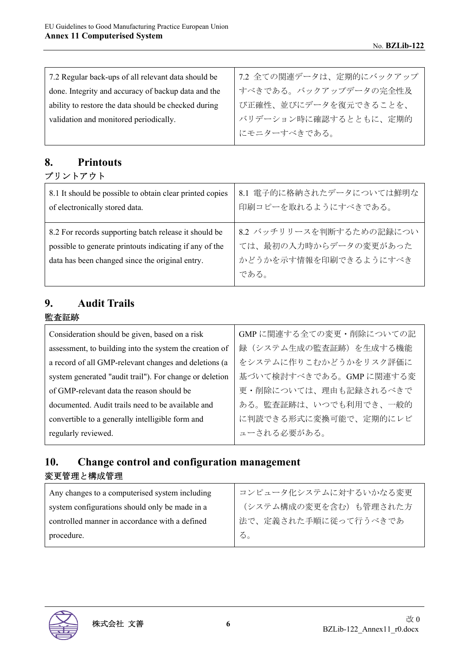| 7.2 Regular back-ups of all relevant data should be  | 7.2 全ての関連データは、定期的にバックアップ |
|------------------------------------------------------|--------------------------|
| done. Integrity and accuracy of backup data and the  | すべきである。バックアップデータの完全性及    |
| ability to restore the data should be checked during | び正確性、並びにデータを復元できることを、    |
| validation and monitored periodically.               | バリデーション時に確認するとともに、定期的    |
|                                                      | にモニターすべきである。             |

#### **8. Printouts**  プリントアウト

| 8.1 It should be possible to obtain clear printed copies                                                                                                            | 8.1 電子的に格納されたデータについては鮮明な                                                           |
|---------------------------------------------------------------------------------------------------------------------------------------------------------------------|------------------------------------------------------------------------------------|
| of electronically stored data.                                                                                                                                      | 印刷コピーを取れるようにすべきである。                                                                |
| 8.2 For records supporting batch release it should be<br>possible to generate printouts indicating if any of the<br>data has been changed since the original entry. | 8.2 バッチリリースを判断するための記録につい<br>ては、最初の入力時からデータの変更があった<br>かどうかを示す情報を印刷できるようにすべき<br>である。 |

## **9. Audit Trails**

#### 監査証跡

| Consideration should be given, based on a risk          | GMPに関連する全ての変更·削除についての記 |
|---------------------------------------------------------|------------------------|
| assessment, to building into the system the creation of | 録(システム生成の監査証跡)を生成する機能  |
| a record of all GMP-relevant changes and deletions (a   | をシステムに作りこむかどうかをリスク評価に  |
| system generated "audit trail"). For change or deletion | 基づいて検討すべきである。GMPに関連する変 |
| of GMP-relevant data the reason should be               | 更・削除については、理由も記録されるべきで  |
| documented. Audit trails need to be available and       | ある。監査証跡は、いつでも利用でき、一般的  |
| convertible to a generally intelligible form and        | に判読できる形式に変換可能で、定期的にレビ  |
| regularly reviewed.                                     | ューされる必要がある。            |

### **10. Change control and configuration management**  変更管理と構成管理

| Any changes to a computerised system including | コンピュータ化システムに対するいかなる変更 |
|------------------------------------------------|-----------------------|
| system configurations should only be made in a | (システム構成の変更を含む)も管理された方 |
| controlled manner in accordance with a defined | 法で、定義された手順に従って行うべきであ  |
| procedure.                                     | $\delta$ .            |

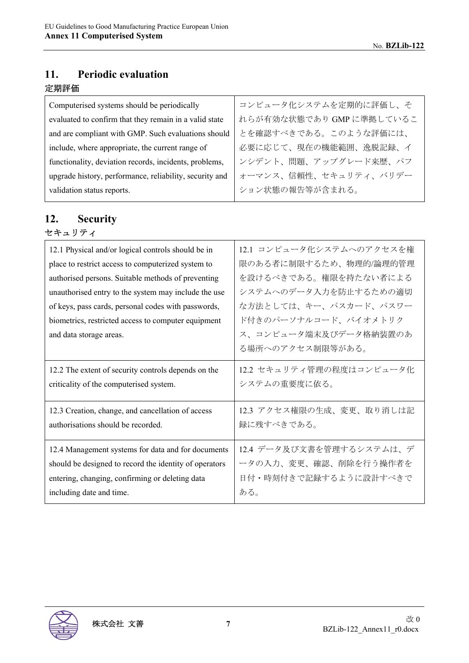## **11. Periodic evaluation**

#### 定期評価

| コンピュータ化システムを定期的に評価し、そ    |
|--------------------------|
| れらが有効な状態であり GMP に準拠しているこ |
| とを確認すべきである。このような評価には、    |
| 必要に応じて、現在の機能範囲、逸脱記録、イ    |
| ンシデント、問題、アップグレード来歴、パフ    |
| オーマンス、信頼性、セキュリティ、バリデー    |
| ション状態の報告等が含まれる。          |
|                          |

#### **12. Security**  セキュリティ

| 12.1 Physical and/or logical controls should be in<br>place to restrict access to computerized system to<br>authorised persons. Suitable methods of preventing<br>unauthorised entry to the system may include the use<br>of keys, pass cards, personal codes with passwords,<br>biometrics, restricted access to computer equipment<br>and data storage areas. | 12.1 コンピュータ化システムへのアクセスを権<br>限のある者に制限するため、物理的/論理的管理<br>を設けるべきである。権限を持たない者による<br>システムへのデータ入力を防止するための適切<br>な方法としては、キー、パスカード、パスワー<br>ド付きのパーソナルコード、バイオメトリク<br>ス、コンピュータ端末及びデータ格納装置のあ<br>る場所へのアクセス制限等がある。 |
|-----------------------------------------------------------------------------------------------------------------------------------------------------------------------------------------------------------------------------------------------------------------------------------------------------------------------------------------------------------------|----------------------------------------------------------------------------------------------------------------------------------------------------------------------------------------------------|
| 12.2 The extent of security controls depends on the                                                                                                                                                                                                                                                                                                             | 12.2 セキュリティ管理の程度はコンピュータ化                                                                                                                                                                           |
| criticality of the computerised system.                                                                                                                                                                                                                                                                                                                         | システムの重要度に依る。                                                                                                                                                                                       |
| 12.3 Creation, change, and cancellation of access                                                                                                                                                                                                                                                                                                               | 12.3 アクセス権限の生成、変更、取り消しは記                                                                                                                                                                           |
| authorisations should be recorded.                                                                                                                                                                                                                                                                                                                              | 録に残すべきである。                                                                                                                                                                                         |
| 12.4 Management systems for data and for documents                                                                                                                                                                                                                                                                                                              | 12.4 データ及び文書を管理するシステムは、デ                                                                                                                                                                           |
| should be designed to record the identity of operators                                                                                                                                                                                                                                                                                                          | ータの入力、変更、確認、削除を行う操作者を                                                                                                                                                                              |
| entering, changing, confirming or deleting data                                                                                                                                                                                                                                                                                                                 | 日付・時刻付きで記録するように設計すべきで                                                                                                                                                                              |
| including date and time.                                                                                                                                                                                                                                                                                                                                        | ある。                                                                                                                                                                                                |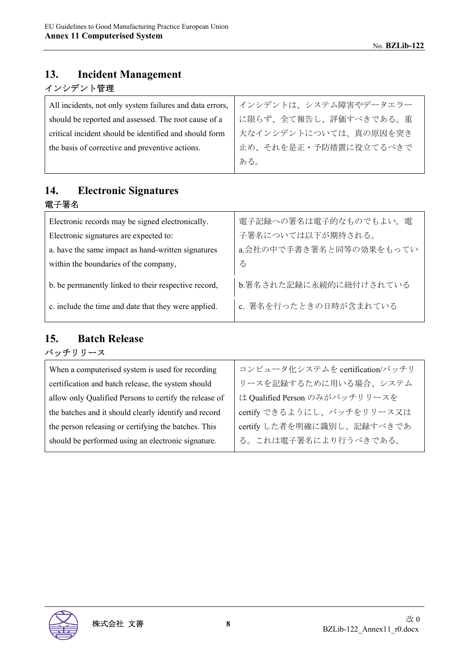#### **13. Incident Management**  インシデント管理

| All incidents, not only system failures and data errors, | インシデントは、システム障害やデータエラー |
|----------------------------------------------------------|-----------------------|
| should be reported and assessed. The root cause of a     | に限らず、全て報告し、評価すべきである。重 |
| critical incident should be identified and should form   | 大なインシデントについては、真の原因を突き |
| the basis of corrective and preventive actions.          | 止め、それを是正・予防措置に役立てるべきで |
|                                                          | ある。                   |

### **14. Electronic Signatures**  電子署名

| Electronic records may be signed electronically.     | 電子記録への署名は電子的なものでもよい。電   |
|------------------------------------------------------|-------------------------|
| Electronic signatures are expected to:               | 子署名については以下が期待される。       |
| a. have the same impact as hand-written signatures   | a.会社の中で手書き署名と同等の効果をもってい |
| within the boundaries of the company,                | る                       |
| b. be permanently linked to their respective record, | b.署名された記録に永続的に紐付けされている  |
| c. include the time and date that they were applied. | c. 署名を行ったときの日時が含まれている   |

#### **15. Batch Release**  バッチリリース

| When a computerised system is used for recording       | コンピュータ化システムを certification/バッチリ |
|--------------------------------------------------------|---------------------------------|
| certification and batch release, the system should     | リースを記録するために用いる場合、システム           |
| allow only Qualified Persons to certify the release of | は Qualified Person のみがバッチリリースを  |
| the batches and it should clearly identify and record  | certify できるようにし、バッチをリリース又は      |
| the person releasing or certifying the batches. This   | certify した者を明確に識別し、記録すべきであ      |
| should be performed using an electronic signature.     | る。これは電子署名により行うべきである。            |

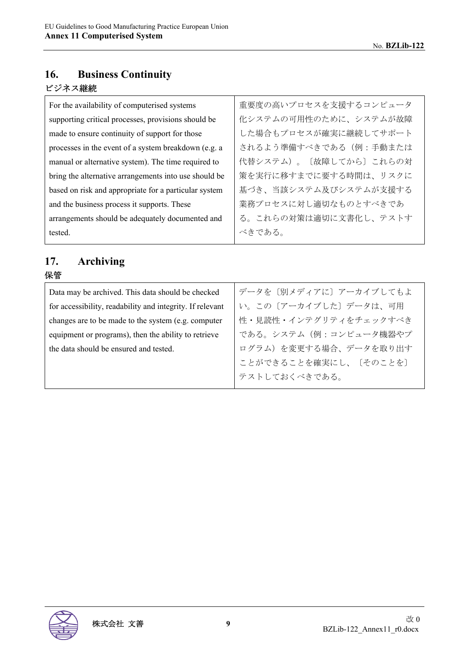#### **16. Business Continuity**  ビジネス継続

| For the availability of computerised systems          | 重要度の高いプロセスを支援するコンピュータ  |
|-------------------------------------------------------|------------------------|
| supporting critical processes, provisions should be   | 化システムの可用性のために、システムが故障  |
| made to ensure continuity of support for those        | した場合もプロセスが確実に継続してサポート  |
| processes in the event of a system breakdown (e.g. a  | されるよう準備すべきである (例:手動または |
| manual or alternative system). The time required to   | 代替システム)。〔故障してから〕これらの対  |
| bring the alternative arrangements into use should be | 策を実行に移すまでに要する時間は、リスクに  |
| based on risk and appropriate for a particular system | 基づき、当該システム及びシステムが支援する  |
| and the business process it supports. These           | 業務プロセスに対し適切なものとすべきであ   |
| arrangements should be adequately documented and      | る。これらの対策は適切に文書化し、テストす  |
| tested.                                               | べきである。                 |

#### **17. Archiving**  保管

| <u>иъв</u>                                                |                         |
|-----------------------------------------------------------|-------------------------|
| Data may be archived. This data should be checked         | データを [別メディアに] アーカイブしてもよ |
| for accessibility, readability and integrity. If relevant | い。この〔アーカイブした〕データは、可用    |
| changes are to be made to the system (e.g. computer       | 性・見読性・インテグリティをチェックすべき   |
| equipment or programs), then the ability to retrieve      | である。システム(例:コンピュータ機器やプ   |
| the data should be ensured and tested.                    | ログラム)を変更する場合、データを取り出す   |
|                                                           | ことができることを確実にし、〔そのことを〕   |
|                                                           | テストしておくべきである。           |
|                                                           |                         |